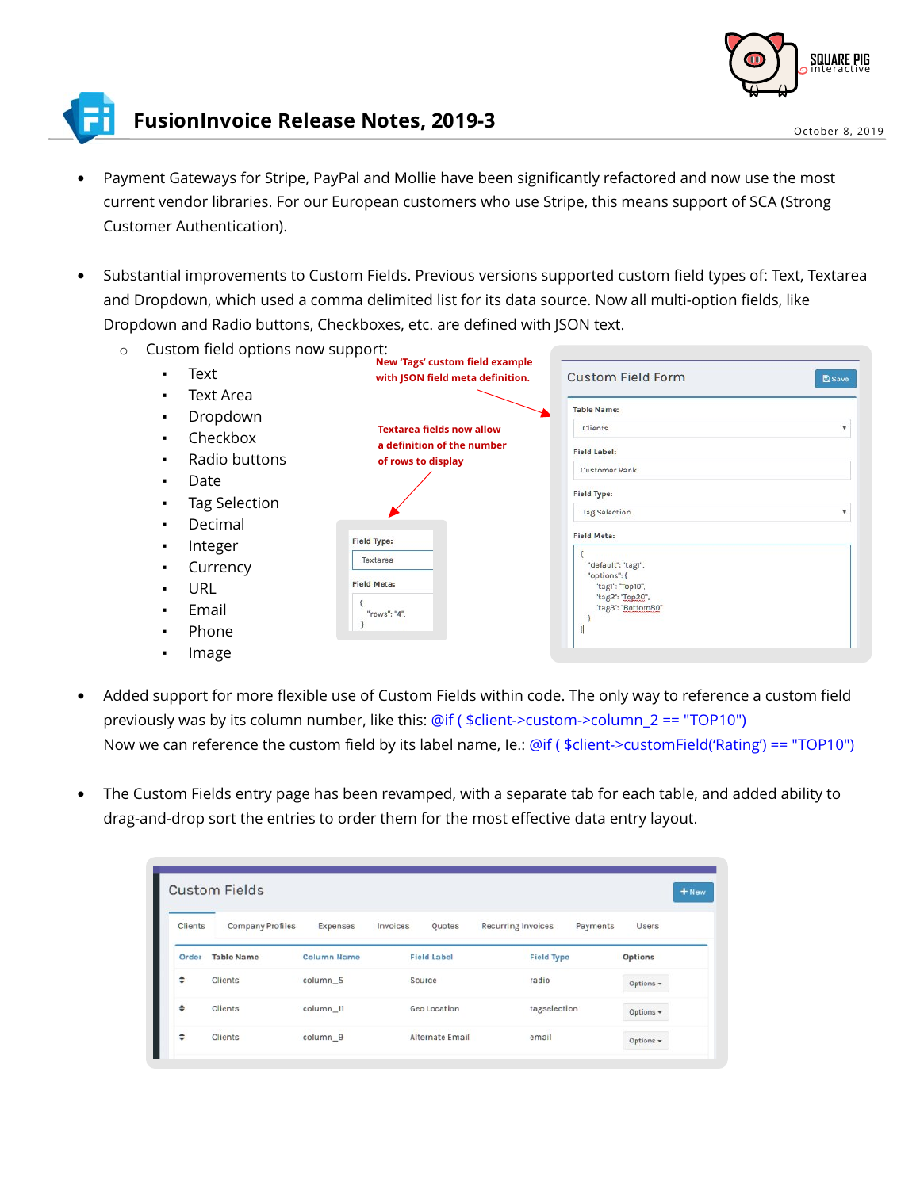

## **FusionInvoice Release Notes, 2019-3**

- Payment Gateways for Stripe, PayPal and Mollie have been significantly refactored and now use the most<br>current vendor libraries. For our European customers who use Stripe, this means support of SCA (Strong<br>Customer Authent
- Substantial improvements to Custom Fields. Previous versions supported custom field types of: Text, Textarea<br>and Dropdown, which used a comma delimited list for its data source. Now all multi-option fields, like<br>Dropdown



- Added support for more flexible use of Custom Fields within code. The only way to reference a custom field previously was by its column number, like this: @if (  $$client->custom->column_2 == "TOP10")$ Now we can reference the custom field by its label name, Ie.: @if ( \$client->customField('Rating') == "TOP10")
- The Custom Fields entry page has been revamped, with a separate tab for each table, and added ability to<br>drag-and-drop sort the entries to order them for the most effective data entry layout.

| <b>Clients</b> | <b>Company Profiles</b> | Expenses           | Invoices           | Quotes          | <b>Recurring Invoices</b> | Payments          | <b>Users</b>    |
|----------------|-------------------------|--------------------|--------------------|-----------------|---------------------------|-------------------|-----------------|
| Order          | <b>Table Name</b>       | <b>Column Name</b> | <b>Field Label</b> |                 |                           | <b>Field Type</b> |                 |
| ÷              | <b>Clients</b>          | column_5           | Source             |                 | radio                     |                   | Options $\star$ |
| ٠              | Clients                 | column_11          |                    | Geo Location    |                           | tagselection      | Options +       |
| ÷              | <b>Clients</b>          | column 9           |                    | Alternate Email | email                     |                   | Options -       |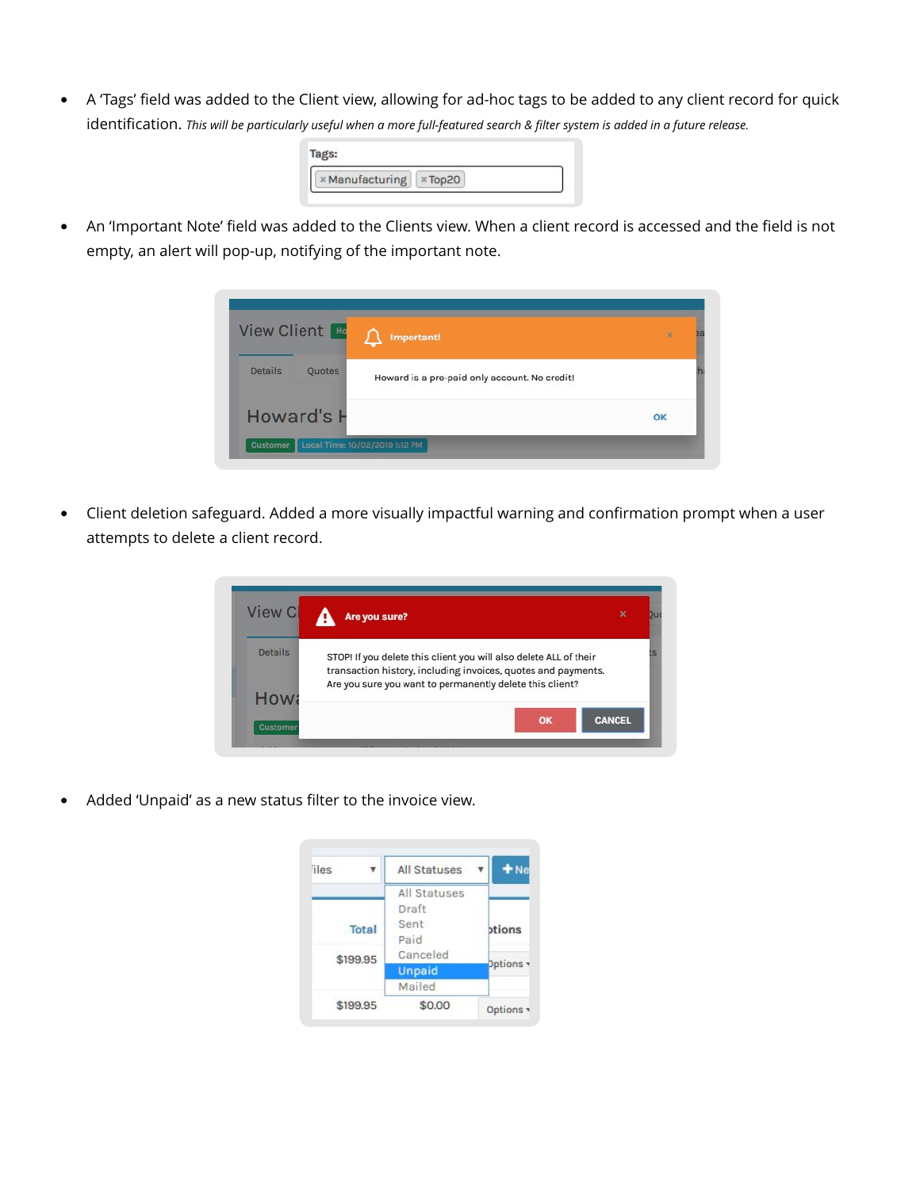• A 'Tags' field was added to the Client view, allowing for ad-hoc tags to be added to any client record for quick identification. This will be particularly useful when a more full-featured search & filter system is added

| <b>×Manufacturing ×Top20</b> |  |
|------------------------------|--|

• An 'Important Note' field was added to the Clients view. When a client record is accessed and the field is not empty, an alert will pop-up, notifying of the important note.



• Client deletion safeguard. Added a more visually impactful warning and confirmation prompt when a user attempts to delete a client record.



• Added 'Unpaid' as a new status filter to the invoice view.

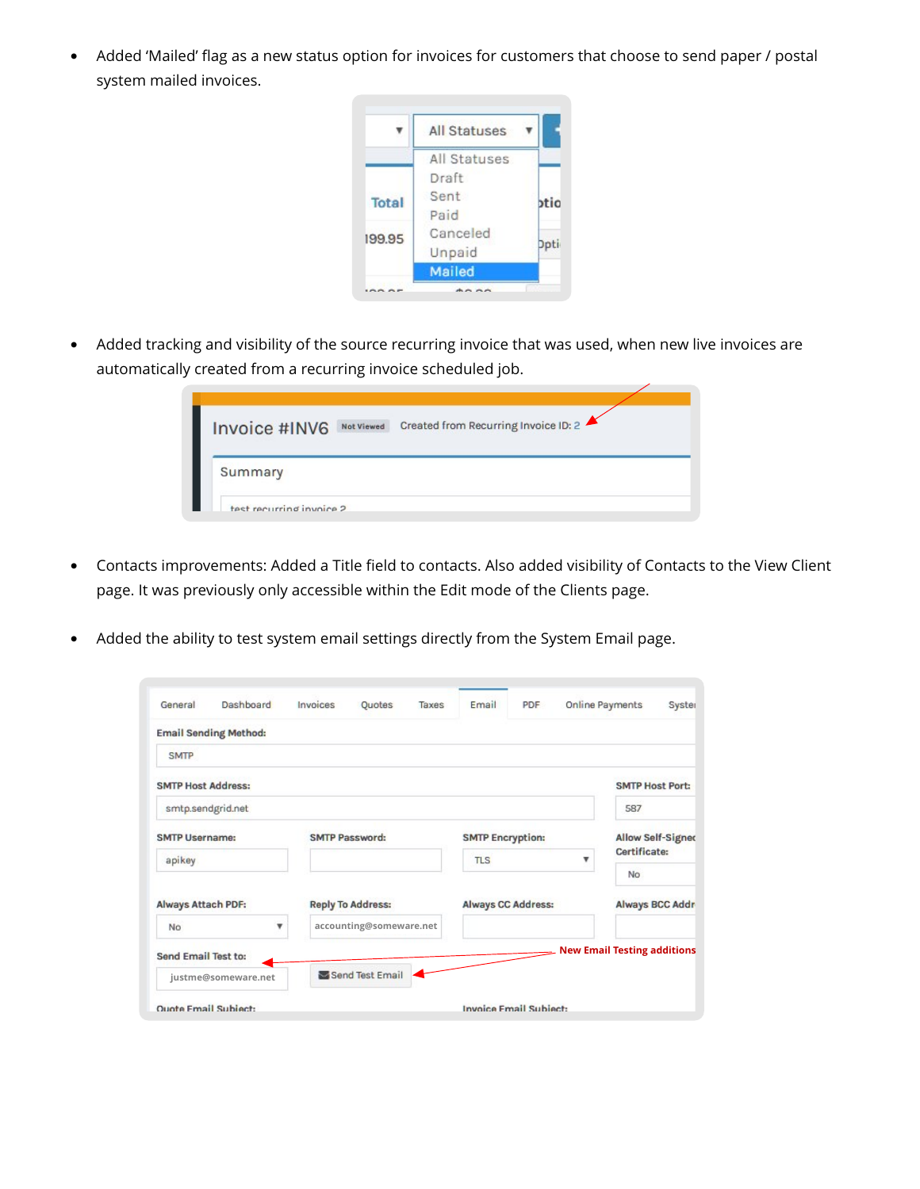• Added 'Mailed' flag as a new status option for invoices for customers that choose to send paper / postal system mailed invoices.



• Added tracking and visibility of the source recurring invoice that was used, when new live invoices are automatically created from a recurring invoice scheduled job.

| Invoice #INV6<br><b>Not Viewed</b> | Created from Recurring Invoice ID: 2 |
|------------------------------------|--------------------------------------|
| Summary                            |                                      |
| test recurring invoice 2           |                                      |

- Contacts improvements: Added a Title field to contacts. Also added visibility of Contacts to the View Client page. It was previously only accessible within the Edit mode of the Clients page.
- Added the ability to test system email settings directly from the System Email page.

| General                   | Dashboard                    | Invoices | Quotes                   | Taxes | Email                         | <b>PDF</b> |                          | Online Payments                    | Syster |
|---------------------------|------------------------------|----------|--------------------------|-------|-------------------------------|------------|--------------------------|------------------------------------|--------|
|                           | <b>Email Sending Method:</b> |          |                          |       |                               |            |                          |                                    |        |
| <b>SMTP</b>               |                              |          |                          |       |                               |            |                          |                                    |        |
| <b>SMTP Host Address:</b> |                              |          |                          |       |                               |            |                          | <b>SMTP Host Port:</b>             |        |
| smtp.sendgrid.net         |                              |          |                          |       |                               |            |                          | 587                                |        |
| <b>SMTP Username:</b>     |                              |          | <b>SMTP Password:</b>    |       | <b>SMTP Encryption:</b>       |            | <b>Allow Self-Signed</b> |                                    |        |
| apikey                    |                              |          |                          |       | <b>TLS</b>                    |            | v                        | Certificate:<br>No                 |        |
| <b>Always Attach PDF:</b> |                              |          | <b>Reply To Address:</b> |       | <b>Always CC Address:</b>     |            |                          | <b>Always BCC Addr</b>             |        |
| No                        | ▼                            |          | accounting@someware.net  |       |                               |            |                          |                                    |        |
| Send Email Test to:       |                              |          |                          |       |                               |            |                          | <b>New Email Testing additions</b> |        |
|                           | justme@someware.net          |          | Send Test Email          |       |                               |            |                          |                                    |        |
| Quote Email Subject:      |                              |          |                          |       | <b>Invoice Email Subject:</b> |            |                          |                                    |        |